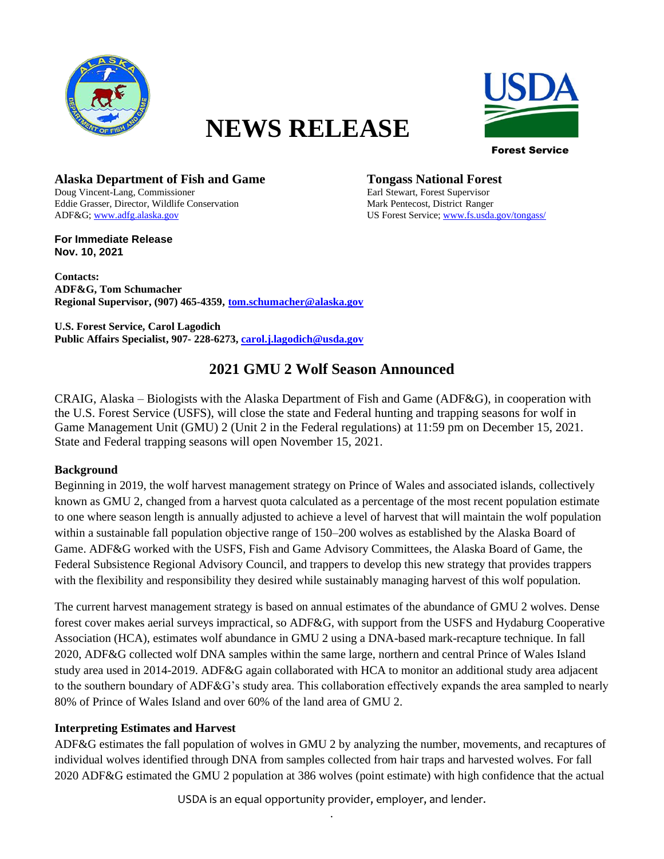

# **NEWS RELEASE**



Forest Service

**Alaska Department of Fish and Game Tongass National Forest** Doug Vincent-Lang, Commissioner Earl Stewart, Forest Supervisor Eddie Grasser, Director, Wildlife Conservation Mark Pentecost, District Ranger ADF&G[; www.adfg.alaska.gov](http://www.adfg.alaska.gov/) US Forest Service[; www.fs.usda.gov/tongass/](http://www.fs.usda.gov/tongass/)

**For Immediate Release Nov. 10, 2021**

**Contacts: ADF&G, Tom Schumacher Regional Supervisor, (907) 465-4359, tom.schumacher@alaska.gov**

**U.S. Forest Service, Carol Lagodich Public Affairs Specialist, 907- 228-6273, [carol.j.lagodich@usda.gov](mailto:carol.j.lagodich@usda.gov)**

# **2021 GMU 2 Wolf Season Announced**

CRAIG, Alaska – Biologists with the Alaska Department of Fish and Game (ADF&G), in cooperation with the U.S. Forest Service (USFS), will close the state and Federal hunting and trapping seasons for wolf in Game Management Unit (GMU) 2 (Unit 2 in the Federal regulations) at 11:59 pm on December 15, 2021. State and Federal trapping seasons will open November 15, 2021.

#### **Background**

Beginning in 2019, the wolf harvest management strategy on Prince of Wales and associated islands, collectively known as GMU 2, changed from a harvest quota calculated as a percentage of the most recent population estimate to one where season length is annually adjusted to achieve a level of harvest that will maintain the wolf population within a sustainable fall population objective range of 150–200 wolves as established by the Alaska Board of Game. ADF&G worked with the USFS, Fish and Game Advisory Committees, the Alaska Board of Game, the Federal Subsistence Regional Advisory Council, and trappers to develop this new strategy that provides trappers with the flexibility and responsibility they desired while sustainably managing harvest of this wolf population.

The current harvest management strategy is based on annual estimates of the abundance of GMU 2 wolves. Dense forest cover makes aerial surveys impractical, so ADF&G, with support from the USFS and Hydaburg Cooperative Association (HCA), estimates wolf abundance in GMU 2 using a DNA-based mark-recapture technique. In fall 2020, ADF&G collected wolf DNA samples within the same large, northern and central Prince of Wales Island study area used in 2014-2019. ADF&G again collaborated with HCA to monitor an additional study area adjacent to the southern boundary of ADF&G's study area. This collaboration effectively expands the area sampled to nearly 80% of Prince of Wales Island and over 60% of the land area of GMU 2.

## **Interpreting Estimates and Harvest**

ADF&G estimates the fall population of wolves in GMU 2 by analyzing the number, movements, and recaptures of individual wolves identified through DNA from samples collected from hair traps and harvested wolves. For fall 2020 ADF&G estimated the GMU 2 population at 386 wolves (point estimate) with high confidence that the actual

> USDA is an equal opportunity provider, employer, and lender. .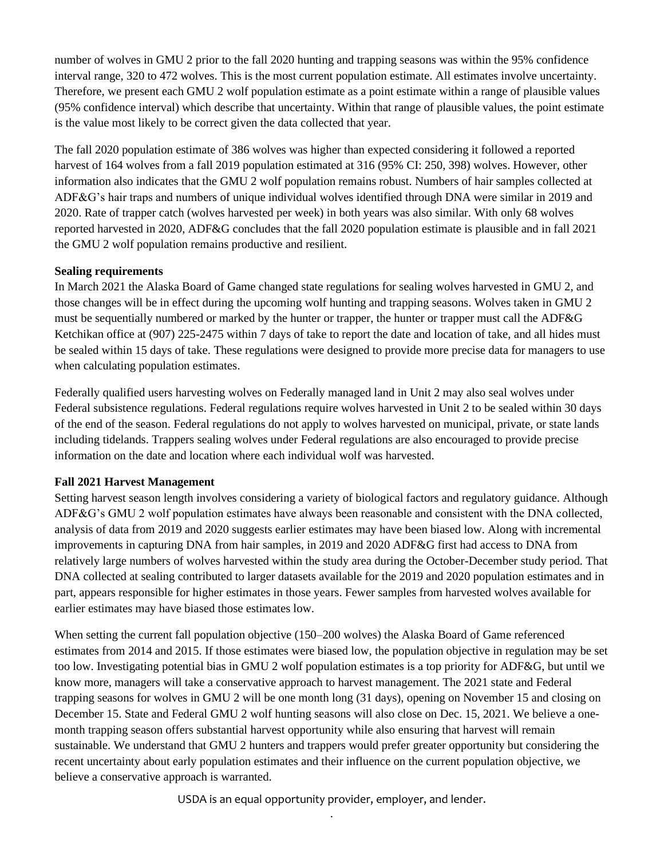number of wolves in GMU 2 prior to the fall 2020 hunting and trapping seasons was within the 95% confidence interval range, 320 to 472 wolves. This is the most current population estimate. All estimates involve uncertainty. Therefore, we present each GMU 2 wolf population estimate as a point estimate within a range of plausible values (95% confidence interval) which describe that uncertainty. Within that range of plausible values, the point estimate is the value most likely to be correct given the data collected that year.

The fall 2020 population estimate of 386 wolves was higher than expected considering it followed a reported harvest of 164 wolves from a fall 2019 population estimated at 316 (95% CI: 250, 398) wolves. However, other information also indicates that the GMU 2 wolf population remains robust. Numbers of hair samples collected at ADF&G's hair traps and numbers of unique individual wolves identified through DNA were similar in 2019 and 2020. Rate of trapper catch (wolves harvested per week) in both years was also similar. With only 68 wolves reported harvested in 2020, ADF&G concludes that the fall 2020 population estimate is plausible and in fall 2021 the GMU 2 wolf population remains productive and resilient.

### **Sealing requirements**

In March 2021 the Alaska Board of Game changed state regulations for sealing wolves harvested in GMU 2, and those changes will be in effect during the upcoming wolf hunting and trapping seasons. Wolves taken in GMU 2 must be sequentially numbered or marked by the hunter or trapper, the hunter or trapper must call the ADF&G Ketchikan office at (907) 225-2475 within 7 days of take to report the date and location of take, and all hides must be sealed within 15 days of take. These regulations were designed to provide more precise data for managers to use when calculating population estimates.

Federally qualified users harvesting wolves on Federally managed land in Unit 2 may also seal wolves under Federal subsistence regulations. Federal regulations require wolves harvested in Unit 2 to be sealed within 30 days of the end of the season. Federal regulations do not apply to wolves harvested on municipal, private, or state lands including tidelands. Trappers sealing wolves under Federal regulations are also encouraged to provide precise information on the date and location where each individual wolf was harvested.

#### **Fall 2021 Harvest Management**

Setting harvest season length involves considering a variety of biological factors and regulatory guidance. Although ADF&G's GMU 2 wolf population estimates have always been reasonable and consistent with the DNA collected, analysis of data from 2019 and 2020 suggests earlier estimates may have been biased low. Along with incremental improvements in capturing DNA from hair samples, in 2019 and 2020 ADF&G first had access to DNA from relatively large numbers of wolves harvested within the study area during the October-December study period. That DNA collected at sealing contributed to larger datasets available for the 2019 and 2020 population estimates and in part, appears responsible for higher estimates in those years. Fewer samples from harvested wolves available for earlier estimates may have biased those estimates low.

When setting the current fall population objective (150–200 wolves) the Alaska Board of Game referenced estimates from 2014 and 2015. If those estimates were biased low, the population objective in regulation may be set too low. Investigating potential bias in GMU 2 wolf population estimates is a top priority for ADF&G, but until we know more, managers will take a conservative approach to harvest management. The 2021 state and Federal trapping seasons for wolves in GMU 2 will be one month long (31 days), opening on November 15 and closing on December 15. State and Federal GMU 2 wolf hunting seasons will also close on Dec. 15, 2021. We believe a onemonth trapping season offers substantial harvest opportunity while also ensuring that harvest will remain sustainable. We understand that GMU 2 hunters and trappers would prefer greater opportunity but considering the recent uncertainty about early population estimates and their influence on the current population objective, we believe a conservative approach is warranted.

> USDA is an equal opportunity provider, employer, and lender. .